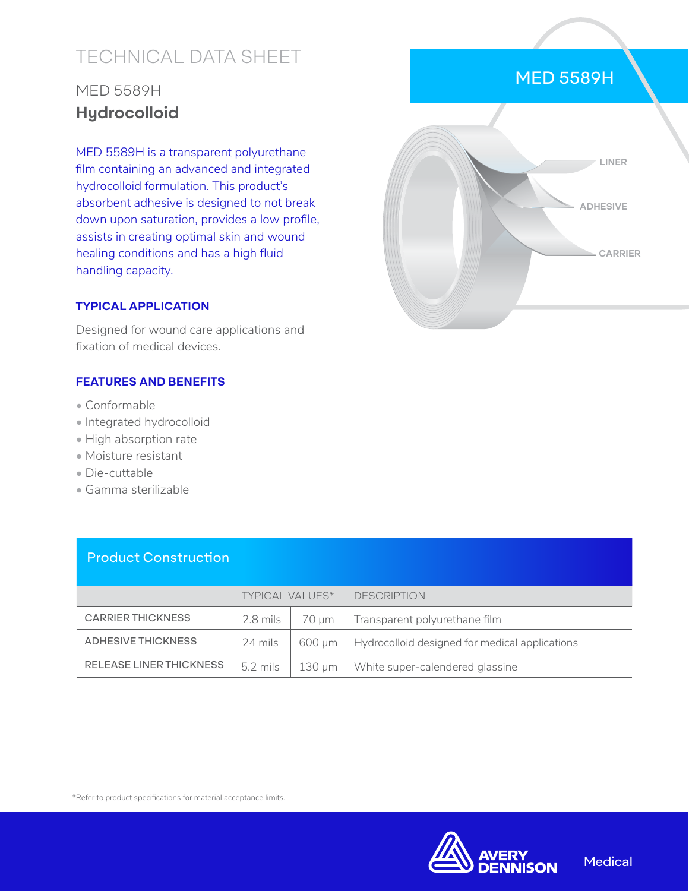# TECHNICAL DATA SHEET

# MED 5589H **Hydrocolloid**

MED 5589H is a transparent polyurethane film containing an advanced and integrated hydrocolloid formulation. This product's absorbent adhesive is designed to not break down upon saturation, provides a low profile, assists in creating optimal skin and wound healing conditions and has a high fluid handling capacity.

#### **TYPICAL APPLICATION**

Designed for wound care applications and fixation of medical devices.

#### **FEATURES AND BENEFITS**

- Conformable
- Integrated hydrocolloid
- High absorption rate
- Moisture resistant
- Die-cuttable
- Gamma sterilizable

Product Construction

|                          | <b>TYPICAL VALUES*</b> |        | <b>DESCRIPTION</b>                             |
|--------------------------|------------------------|--------|------------------------------------------------|
| <b>CARRIER THICKNESS</b> | $2.8$ mils             | 70 um  | Transparent polyurethane film                  |
| ADHESIVE THICKNESS       | 24 mils                | 600 um | Hydrocolloid designed for medical applications |
| RELEASE LINER THICKNESS  | $5.2 \text{ miles}$    | 130 µm | White super-calendered glassine                |

\*Refer to product specifications for material acceptance limits.



#### MED 5589H